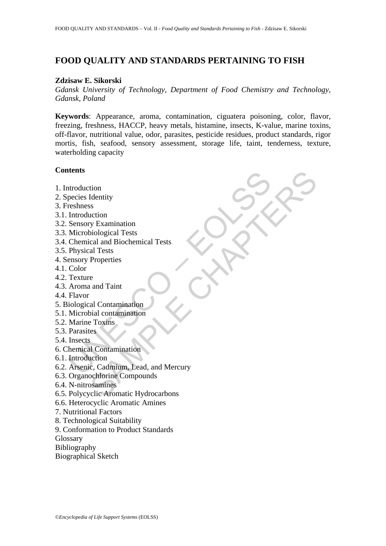# **FOOD QUALITY AND STANDARDS PERTAINING TO FISH**

#### **Zdzisaw E. Sikorski**

*Gdansk University of Technology, Department of Food Chemistry and Technology, Gdansk, Poland* 

**Keywords**: Appearance, aroma, contamination, ciguatera poisoning, color, flavor, freezing, freshness, HACCP, heavy metals, histamine, insects, K-value, marine toxins, off-flavor, nutritional value, odor, parasites, pesticide residues, product standards, rigor mortis, fish, seafood, sensory assessment, storage life, taint, tenderness, texture, waterholding capacity

### **Contents**

- 1. Introduction
- 2. Species Identity
- 3. Freshness
- 3.1. Introduction
- 3.2. Sensory Examination
- 3.3. Microbiological Tests
- 3.4. Chemical and Biochemical Tests
- 3.5. Physical Tests
- 4. Sensory Properties
- 4.1. Color
- 4.2. Texture
- 4.3. Aroma and Taint
- 4.4. Flavor
- 5. Biological Contamination
- 5.1. Microbial contamination
- 5.2. Marine Toxins
- 5.3. Parasites
- 5.4. Insects
- 6. Chemical Contamination
- 6.1. Introduction
- ntroduction<br>pecies Identity<br>reshness<br>Introduction<br>Sensory Examination<br>Microbiological Tests<br>Chemical and Biochemical Tests<br>Physical Tests<br>Physical Tests<br>Physical Tests<br>Physical Tests<br>Physical Tests<br>Arenor Aroma and Taint<br>F tion<br>
Identity<br>
Texamination<br>
Texamination<br>
al Tests<br>
al Tests<br>
Properties<br>
e<br>
e a and Taint<br>
Properties<br>
e<br>
Cal Contamination<br>
Foxis<br>
es<br>
Contamination<br>
Contamination<br>
Contamination<br>
Contamination<br>
Contamination<br>
Contamin 6.2. Arsenic, Cadmium, Lead, and Mercury
- 6.3. Organochlorine Compounds
- 6.4. N-nitrosamines
- 6.5. Polycyclic Aromatic Hydrocarbons
- 6.6. Heterocyclic Aromatic Amines
- 7. Nutritional Factors
- 8. Technological Suitability
- 9. Conformation to Product Standards

**Glossary** 

- Bibliography
- Biographical Sketch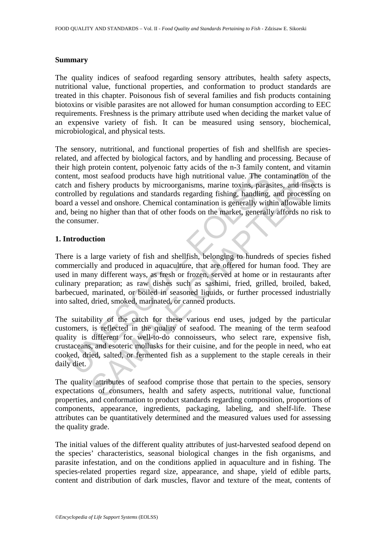#### **Summary**

The quality indices of seafood regarding sensory attributes, health safety aspects, nutritional value, functional properties, and conformation to product standards are treated in this chapter. Poisonous fish of several families and fish products containing biotoxins or visible parasites are not allowed for human consumption according to EEC requirements. Freshness is the primary attribute used when deciding the market value of an expensive variety of fish. It can be measured using sensory, biochemical, microbiological, and physical tests.

tent, most seafood products have high nutritional value. The co<br>h and fishery products by microorganisms, marine toxins, paras<br>rolled by regulations and standards regarding fishing, handling,<br>d a vessel and onshore. Chemic is the stock of products have high nutritional value. The contamination of fishery products have high nutritional value. The contamination of fishery products by microorganisms, marine toxins, parasites, and inseed by regu The sensory, nutritional, and functional properties of fish and shellfish are speciesrelated, and affected by biological factors, and by handling and processing. Because of their high protein content, polyenoic fatty acids of the n-3 family content, and vitamin content, most seafood products have high nutritional value. The contamination of the catch and fishery products by microorganisms, marine toxins, parasites, and insects is controlled by regulations and standards regarding fishing, handling, and processing on board a vessel and onshore. Chemical contamination is generally within allowable limits and, being no higher than that of other foods on the market, generally affords no risk to the consumer.

#### **1. Introduction**

There is a large variety of fish and shellfish, belonging to hundreds of species fished commercially and produced in aquaculture, that are offered for human food. They are used in many different ways, as fresh or frozen, served at home or in restaurants after culinary preparation; as raw dishes such as sashimi, fried, grilled, broiled, baked, barbecued, marinated, or boiled in seasoned liquids, or further processed industrially into salted, dried, smoked, marinated, or canned products.

The suitability of the catch for these various end uses, judged by the particular customers, is reflected in the quality of seafood. The meaning of the term seafood quality is different for well-to-do connoisseurs, who select rare, expensive fish, crustaceans, and esoteric mollusks for their cuisine, and for the people in need, who eat cooked, dried, salted, or fermented fish as a supplement to the staple cereals in their daily diet.

The quality attributes of seafood comprise those that pertain to the species, sensory expectations of consumers, health and safety aspects, nutritional value, functional properties, and conformation to product standards regarding composition, proportions of components, appearance, ingredients, packaging, labeling, and shelf-life. These attributes can be quantitatively determined and the measured values used for assessing the quality grade.

The initial values of the different quality attributes of just-harvested seafood depend on the species' characteristics, seasonal biological changes in the fish organisms, and parasite infestation, and on the conditions applied in aquaculture and in fishing. The species-related properties regard size, appearance, and shape, yield of edible parts, content and distribution of dark muscles, flavor and texture of the meat, contents of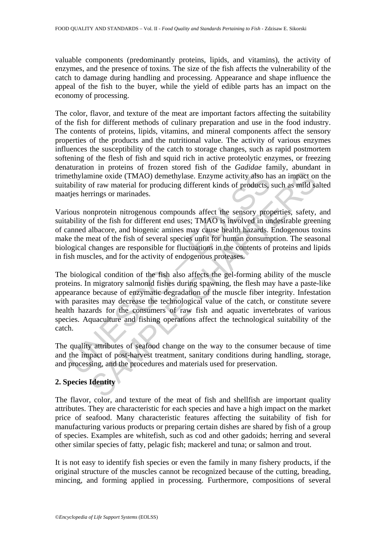valuable components (predominantly proteins, lipids, and vitamins), the activity of enzymes, and the presence of toxins. The size of the fish affects the vulnerability of the catch to damage during handling and processing. Appearance and shape influence the appeal of the fish to the buyer, while the yield of edible parts has an impact on the economy of processing.

The color, flavor, and texture of the meat are important factors affecting the suitability of the fish for different methods of culinary preparation and use in the food industry. The contents of proteins, lipids, vitamins, and mineral components affect the sensory properties of the products and the nutritional value. The activity of various enzymes influences the susceptibility of the catch to storage changes, such as rapid postmortem softening of the flesh of fish and squid rich in active proteolytic enzymes, or freezing denaturation in proteins of frozen stored fish of the *Gadidae* family, abundant in trimethylamine oxide (TMAO) demethylase. Enzyme activity also has an impact on the suitability of raw material for producing different kinds of products, such as mild salted maatjes herrings or marinades.

Various nonprotein nitrogenous compounds affect the sensory properties, safety, and suitability of the fish for different end uses; TMAO is involved in undesirable greening of canned albacore, and biogenic amines may cause health hazards. Endogenous toxins make the meat of the fish of several species unfit for human consumption. The seasonal biological changes are responsible for fluctuations in the contents of proteins and lipids in fish muscles, and for the activity of endogenous proteases.

ethylamine oxide (TMAO) demethylase. Enzyme activity also hability of raw material for producing different kinds of products, tijes herrings or marinades.<br>
ious nonprotein nitrogenous compounds affect the sensory propounds inie oxide (TMAO) demethylase. Enzyme activity also has an impact or<br>nine oxide (TMAO) demethylase. Enzyme activity also has an impact or<br>of raw material for producing different kinds of products, such as mild se<br>rings or The biological condition of the fish also affects the gel-forming ability of the muscle proteins. In migratory salmonid fishes during spawning, the flesh may have a paste-like appearance because of enzymatic degradation of the muscle fiber integrity. Infestation with parasites may decrease the technological value of the catch, or constitute severe health hazards for the consumers of raw fish and aquatic invertebrates of various species. Aquaculture and fishing operations affect the technological suitability of the catch.

The quality attributes of seafood change on the way to the consumer because of time and the impact of post-harvest treatment, sanitary conditions during handling, storage, and processing, and the procedures and materials used for preservation.

# **2. Species Identity**

The flavor, color, and texture of the meat of fish and shellfish are important quality attributes. They are characteristic for each species and have a high impact on the market price of seafood. Many characteristic features affecting the suitability of fish for manufacturing various products or preparing certain dishes are shared by fish of a group of species. Examples are whitefish, such as cod and other gadoids; herring and several other similar species of fatty, pelagic fish; mackerel and tuna; or salmon and trout.

It is not easy to identify fish species or even the family in many fishery products, if the original structure of the muscles cannot be recognized because of the cutting, breading, mincing, and forming applied in processing. Furthermore, compositions of several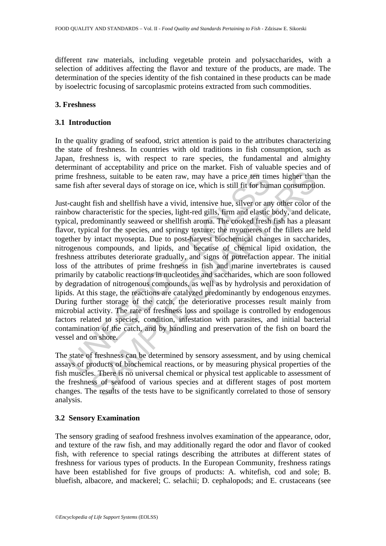different raw materials, including vegetable protein and polysaccharides, with a selection of additives affecting the flavor and texture of the products, are made. The determination of the species identity of the fish contained in these products can be made by isoelectric focusing of sarcoplasmic proteins extracted from such commodities.

## **3. Freshness**

# **3.1 Introduction**

In the quality grading of seafood, strict attention is paid to the attributes characterizing the state of freshness. In countries with old traditions in fish consumption, such as Japan, freshness is, with respect to rare species, the fundamental and almighty determinant of acceptability and price on the market. Fish of valuable species and of prime freshness, suitable to be eaten raw, may have a price ten times higher than the same fish after several days of storage on ice, which is still fit for human consumption.

ince freshness, suitable to be eaten raw, may have a price ten time<br>
e fish after several days of storage on ice, which is still fit for hun<br>
caught fish and shellfish have a vivid, intensive hue, silver or any<br>
bow charac of successors and summate that the measure and the resultation of the results of the results of strates and the results of strates, suitable to be eaten raw, may have a price ten times higher than the fiter several days of Just-caught fish and shellfish have a vivid, intensive hue, silver or any other color of the rainbow characteristic for the species, light-red gills, firm and elastic body, and delicate, typical, predominantly seaweed or shellfish aroma. The cooked fresh fish has a pleasant flavor, typical for the species, and springy texture; the myomeres of the fillets are held together by intact myosepta. Due to post-harvest biochemical changes in saccharides, nitrogenous compounds, and lipids, and because of chemical lipid oxidation, the freshness attributes deteriorate gradually, and signs of putrefaction appear. The initial loss of the attributes of prime freshness in fish and marine invertebrates is caused primarily by catabolic reactions in nucleotides and saccharides, which are soon followed by degradation of nitrogenous compounds, as well as by hydrolysis and peroxidation of lipids. At this stage, the reactions are catalyzed predominantly by endogenous enzymes. During further storage of the catch, the deteriorative processes result mainly from microbial activity. The rate of freshness loss and spoilage is controlled by endogenous factors related to species, condition, infestation with parasites, and initial bacterial contamination of the catch, and by handling and preservation of the fish on board the vessel and on shore.

The state of freshness can be determined by sensory assessment, and by using chemical assays of products of biochemical reactions, or by measuring physical properties of the fish muscles. There is no universal chemical or physical test applicable to assessment of the freshness of seafood of various species and at different stages of post mortem changes. The results of the tests have to be significantly correlated to those of sensory analysis.

## **3.2 Sensory Examination**

The sensory grading of seafood freshness involves examination of the appearance, odor, and texture of the raw fish, and may additionally regard the odor and flavor of cooked fish, with reference to special ratings describing the attributes at different states of freshness for various types of products. In the European Community, freshness ratings have been established for five groups of products: A. whitefish, cod and sole; B. bluefish, albacore, and mackerel; C. selachii; D. cephalopods; and E. crustaceans (see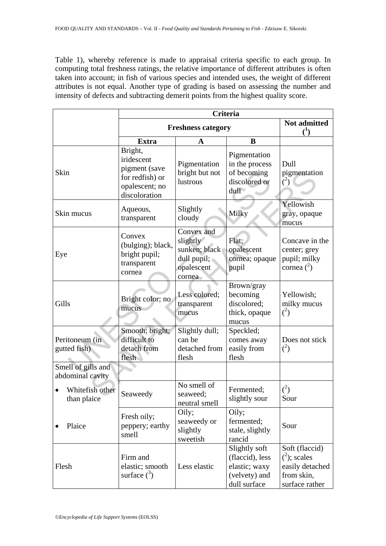Table 1), whereby reference is made to appraisal criteria specific to each group. In computing total freshness ratings, the relative importance of different attributes is often taken into account; in fish of various species and intended uses, the weight of different attributes is not equal. Another type of grading is based on assessing the number and intensity of defects and subtracting demerit points from the highest quality score.

|                                        | Criteria                                                                                     |                                                                                |                                                                                    |                                                                                      |  |  |
|----------------------------------------|----------------------------------------------------------------------------------------------|--------------------------------------------------------------------------------|------------------------------------------------------------------------------------|--------------------------------------------------------------------------------------|--|--|
|                                        | <b>Freshness category</b>                                                                    | Not admitted<br>$\mathcal{L}^1$                                                |                                                                                    |                                                                                      |  |  |
|                                        | <b>Extra</b>                                                                                 | A                                                                              | B                                                                                  |                                                                                      |  |  |
| Skin                                   | Bright,<br>iridescent<br>pigment (save<br>for redfish) or<br>opalescent; no<br>discoloration | Pigmentation<br>bright but not<br>lustrous                                     | Pigmentation<br>in the process<br>of becoming<br>discolored or<br>dull             | Dull<br>pigmentation<br>$\binom{2}{ }$                                               |  |  |
| Skin mucus                             | Aqueous,<br>transparent                                                                      | Slightly<br>cloudy                                                             | Milky                                                                              | Yellowish<br>gray, opaque<br>mucus                                                   |  |  |
| Eye                                    | Convex<br>(bulging); black,<br>bright pupil;<br>transparent<br>cornea                        | Convex and<br>slightly<br>sunken; black<br>dull pupil;<br>opalescent<br>cornea | Flat;<br>opalescent<br>cornea; opaque<br>pupil                                     | Concave in the<br>center; grey<br>pupil; milky<br>cornea $^2$ )                      |  |  |
| Gills                                  | Bright color; no<br>mucus                                                                    | Less colored;<br>transparent<br>mucus                                          | Brown/gray<br>becoming<br>discolored;<br>thick, opaque<br>mucus                    | Yellowish;<br>milky mucus<br>$^{(2)}$                                                |  |  |
| Peritoneum (in<br>gutted fish)         | Smooth; bright;<br>difficult to<br>detach from<br>flesh                                      | Slightly dull;<br>can be<br>detached from<br>flesh                             | Speckled;<br>comes away<br>easily from<br>flesh                                    | Does not stick<br>$\binom{2}{ }$                                                     |  |  |
| Smell of gills and<br>abdominal cavity |                                                                                              |                                                                                |                                                                                    |                                                                                      |  |  |
| Whitefish other<br>than plaice         | Seaweedy                                                                                     | No smell of<br>seaweed;<br>neutral smell                                       | Fermented;<br>slightly sour                                                        | $\binom{2}{ }$<br>Sour                                                               |  |  |
| Plaice                                 | Fresh oily;<br>peppery; earthy<br>smell                                                      | Oily;<br>seaweedy or<br>slightly<br>sweetish                                   | Oily;<br>fermented;<br>stale, slightly<br>rancid                                   | Sour                                                                                 |  |  |
| Flesh                                  | Firm and<br>elastic; smooth<br>surface $\binom{3}{2}$                                        | Less elastic                                                                   | Slightly soft<br>(flaccid), less<br>elastic; waxy<br>(velvety) and<br>dull surface | Soft (flaccid)<br>$^{2}$ ; scales<br>easily detached<br>from skin,<br>surface rather |  |  |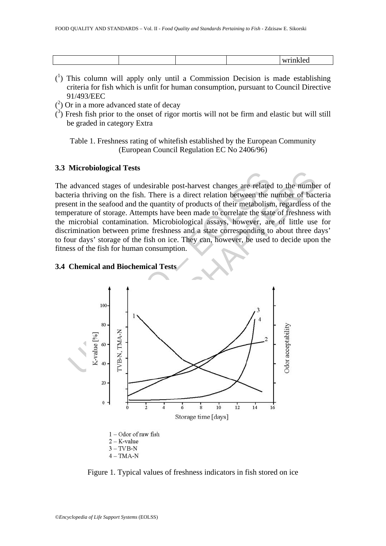| м. |  |  |  |
|----|--|--|--|
|    |  |  |  |

- $(1)$  This column will apply only until a Commission Decision is made establishing criteria for fish which is unfit for human consumption, pursuant to Council Directive 91/493/EEC
- $(2)$  Or in a more advanced state of decay
- $\hat{C}$ ) Fresh fish prior to the onset of rigor mortis will not be firm and elastic but will still be graded in category Extra

Table 1. Freshness rating of whitefish established by the European Community (European Council Regulation EC No 2406/96)

#### **3.3 Microbiological Tests**

The advanced stages of undesirable post-harvest changes are related to the number of bacteria thriving on the fish. There is a direct relation between the number of bacteria present in the seafood and the quantity of products of their metabolism, regardless of the temperature of storage. Attempts have been made to correlate the state of freshness with the microbial contamination. Microbiological assays, however, are of little use for discrimination between prime freshness and a state corresponding to about three days' to four days' storage of the fish on ice. They can, however, be used to decide upon the fitness of the fish for human consumption.

## **3.4 Chemical and Biochemical Tests**



Figure 1. Typical values of freshness indicators in fish stored on ice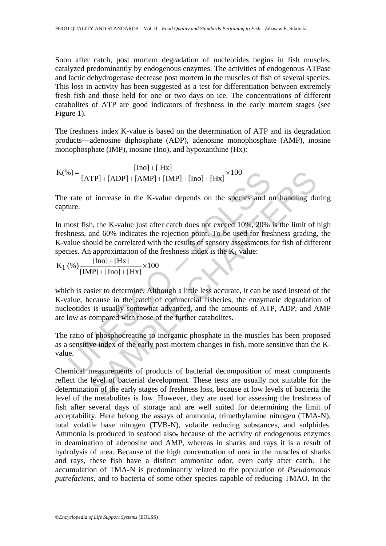Soon after catch, post mortem degradation of nucleotides begins in fish muscles, catalyzed predominantly by endogenous enzymes. The activities of endogenous ATPase and lactic dehydrogenase decrease post mortem in the muscles of fish of several species. This loss in activity has been suggested as a test for differentiation between extremely fresh fish and those held for one or two days on ice. The concentrations of different catabolites of ATP are good indicators of freshness in the early mortem stages (see Figure 1).

The freshness index K-value is based on the determination of ATP and its degradation products—adenosine diphosphate (ADP), adenosine monophosphate (AMP), inosine monophosphate (IMP), inosine (Ino), and hypoxanthine (Hx):

$$
K(\%) = \frac{[Ino] + [Hx]}{[ATP] + [ADP] + [AMP] + [IMP] + [Ino] + [Hx]} \times 100
$$

The rate of increase in the K-value depends on the species and on handling during capture.

6) =  $\frac{1}{[ATP]+[ADP]+[AMP]+[IMP]+[IND]+[HN]} \times 100$ <br>rate of increase in the K-value depends on the species and o<br>ure.<br>nost fish, the K-value just after catch does not exceed 10%, 20%<br>hhness, and 60% indicates the rejection point. To b TP]+[ADP]+[AMP]+[IMP]+[Imp]+[Hx] ×100<br>
f increase in the K-value depends on the species and on handling du<br>
f increase in the K-value depends on the species and on handling du<br>
h, the K-value just after catch does not exc In most fish, the K-value just after catch does not exceed 10%, 20% is the limit of high freshness, and 60% indicates the rejection point. To be used for freshness grading, the K-value should be correlated with the results of sensory assessments for fish of different species. An approximation of the freshness index is the  $K_1$  value:

$$
K_1\left(\%
$$
)  $\frac{[Ino]+[Hx]}{[IMP]+[Ino]+[Hx]} \times 100$ 

which is easier to determine. Although a little less accurate, it can be used instead of the K-value, because in the catch of commercial fisheries, the enzymatic degradation of nucleotides is usually somewhat advanced, and the amounts of ATP, ADP, and AMP are low as compared with those of the further catabolites.

The ratio of phosphocreatine to inorganic phosphate in the muscles has been proposed as a sensitive index of the early post-mortem changes in fish, more sensitive than the Kvalue.

Chemical measurements of products of bacterial decomposition of meat components reflect the level of bacterial development. These tests are usually not suitable for the determination of the early stages of freshness loss, because at low levels of bacteria the level of the metabolites is low. However, they are used for assessing the freshness of fish after several days of storage and are well suited for determining the limit of acceptability. Here belong the assays of ammonia, trimethylamine nitrogen (TMA-N), total volatile base nitrogen (TVB-N), volatile reducing substances, and sulphides. Ammonia is produced in seafood also, because of the activity of endogenous enzymes in deamination of adenosine and AMP, whereas in sharks and rays it is a result of hydrolysis of urea. Because of the high concentration of urea in the muscles of sharks and rays, these fish have a distinct ammoniac odor, even early after catch. The accumulation of TMA-N is predominantly related to the population of *Pseudomonas putrefaciens,* and to bacteria of some other species capable of reducing TMAO. In the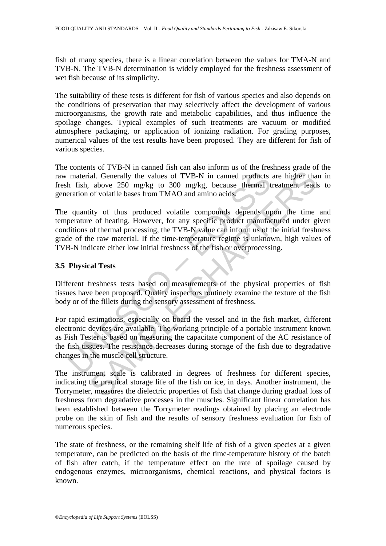fish of many species, there is a linear correlation between the values for TMA-N and TVB-N. The TVB-N determination is widely employed for the freshness assessment of wet fish because of its simplicity.

The suitability of these tests is different for fish of various species and also depends on the conditions of preservation that may selectively affect the development of various microorganisms, the growth rate and metabolic capabilities, and thus influence the spoilage changes. Typical examples of such treatments are vacuum or modified atmosphere packaging, or application of ionizing radiation. For grading purposes, numerical values of the test results have been proposed. They are different for fish of various species.

The contents of TVB-N in canned fish can also inform us of the freshness grade of the raw material. Generally the values of TVB-N in canned products are higher than in fresh fish, above 250 mg/kg to 300 mg/kg, because thermal treatment leads to generation of volatile bases from TMAO and amino acids.

The quantity of thus produced volatile compounds depends upon the time and temperature of heating. However, for any specific product manufactured under given conditions of thermal processing, the TVB-N value can inform us of the initial freshness grade of the raw material. If the time-temperature regime is unknown, high values of TVB-N indicate either low initial freshness of the fish or overprocessing.

## **3.5 Physical Tests**

Different freshness tests based on measurements of the physical properties of fish tissues have been proposed. Quality inspectors routinely examine the texture of the fish body or of the fillets during the sensory assessment of freshness.

material. Generally the values of TVB-N in canned products<br>h fish, above 250 mg/kg to 300 mg/kg, because thermal t<br>eration of volatile bases from TMAO and amino acids.<br>quantity of thus produced volatile compounds depends u al. Generally the values of TVB-N in canned products are higher that above 250 mg/kg to 300 mg/kg, because thermal treatment lead of volatile bases from TMAO and amino acids. The above 250 mg/kg to 300 mg/kg, because ther For rapid estimations, especially on board the vessel and in the fish market, different electronic devices are available. The working principle of a portable instrument known as Fish Tester is based on measuring the capacitate component of the AC resistance of the fish tissues. The resistance decreases during storage of the fish due to degradative changes in the muscle cell structure.

The instrument scale is calibrated in degrees of freshness for different species, indicating the practical storage life of the fish on ice, in days. Another instrument, the Torrymeter, measures the dielectric properties of fish that change during gradual loss of freshness from degradative processes in the muscles. Significant linear correlation has been established between the Torrymeter readings obtained by placing an electrode probe on the skin of fish and the results of sensory freshness evaluation for fish of numerous species.

The state of freshness, or the remaining shelf life of fish of a given species at a given temperature, can be predicted on the basis of the time-temperature history of the batch of fish after catch, if the temperature effect on the rate of spoilage caused by endogenous enzymes, microorganisms, chemical reactions, and physical factors is known.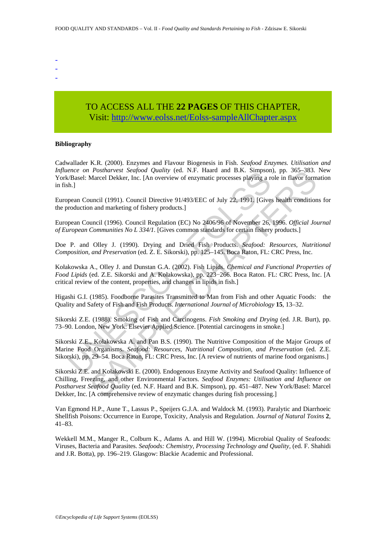- -
- -

# TO ACCESS ALL THE **22 PAGES** OF THIS CHAPTER, Vis[it: http://www.eolss.net/Eolss-sampleAllChapter.aspx](https://www.eolss.net/ebooklib/sc_cart.aspx?File=E5-08-04-02)

#### **Bibliography**

Cadwallader K.R. (2000). Enzymes and Flavour Biogenesis in Fish. *Seafood Enzymes. Utilisation and Influence on Postharvest Seafood Quality* (ed. N.F. Haard and B.K. Simpson), pp. 365–383. New York/Basel: Marcel Dekker, Inc. [An overview of enzymatic processes playing a role in flavor formation in fish.]

European Council (1991). Council Directive 91/493/EEC of July 22, 1991. [Gives health conditions for the production and marketing of fishery products.]

European Council (1996). Council Regulation (EC) No 2406/96 of November 26, 1996. *Official Journal of European Communities No L 334/1.* [Gives common standards for certain fishery products.]

Doe P. and Olley J. (1990). Drying and Dried Fish Products. *Seafood: Resources, Nutritional Composition, and Preservation* (ed. Z. E. Sikorski), pp. 125–145. Boca Raton, FL: CRC Press, Inc.

Kołakowska A., Olley J. and Dunstan G.A. (2002). Fish Lipids. *Chemical and Functional Properties of Food Lipids* (ed. Z.E. Sikorski and A. Kołakowska), pp. 223−266. Boca Raton. FL: CRC Press, Inc. [A critical review of the content, properties, and changes in lipids in fish.]

Higashi G.I. (1985). Foodborne Parasites Transmitted to Man from Fish and other Aquatic Foods: the Quality and Safety of Fish and Fish Products. *International Journal of Microbiology* **15**, 13–32.

Sikorski Z.E. (1988). Smoking of Fish and Carcinogens. *Fish Smoking and Drying* (ed. J.R. Burt), pp. 73–90. London, New York: Elsevier Applied Science. [Potential carcinogens in smoke.]

*ence on Possinarvest seajood Quality* (ed. N.F. raada and B.A. Simpson<br> *CBasel:* Marcel Dekker, Inc. [An overview of enzymatic processes playing a re<br> *And 29.1* Council (1991). Council Directive 91/493/EEC of July 22, 1 Sikorski Z.E., Kołakowska A. and Pan B.S. (1990). The Nutritive Composition of the Major Groups of Marine Food Organisms. *Seafood: Resources, Nutritional Composition, and Preservation* (ed. Z.E. Sikorski), pp. 29–54. Boca Raton, FL: CRC Press, Inc. [A review of nutrients of marine food organisms.]

*Posinarvest Segtood Quality* (ed. N.F. Haard and B.K. Simpson), pp. 50-3-83.<br>Marcel Dekker, Inc. [An overview of enzymatic processes playing a role in flavor form<br>uncil (1991). Council Directive 91/493/EEC of July 22, 19 Sikorski Z.E. and Kołakowski E. (2000). Endogenous Enzyme Activity and Seafood Quality: Influence of Chilling, Freezing, and other Environmental Factors. *Seafood Enzymes: Utilisation and Influence on Postharvest Seafood Quality* (ed. N.F. Haard and B.K. Simpson), pp. 451–487. New York/Basel: Marcel Dekker, Inc. [A comprehensive review of enzymatic changes during fish processing.]

Van Egmond H.P., Aune T., Lassus P., Speijers G.J.A. and Waldock M. (1993). Paralytic and Diarrhoeic Shellfish Poisons: Occurrence in Europe, Toxicity, Analysis and Regulation. *Journal of Natural Toxins* **2**, 41–83.

Wekkell M.M., Manger R., Colburn K., Adams A. and Hill W. (1994). Microbial Quality of Seafoods: Viruses, Bacteria and Parasites. *Seafoods: Chemistry, Processing Technology and Quality,* (ed. F. Shahidi and J.R. Botta), pp. 196–219. Glasgow: Blackie Academic and Professional.